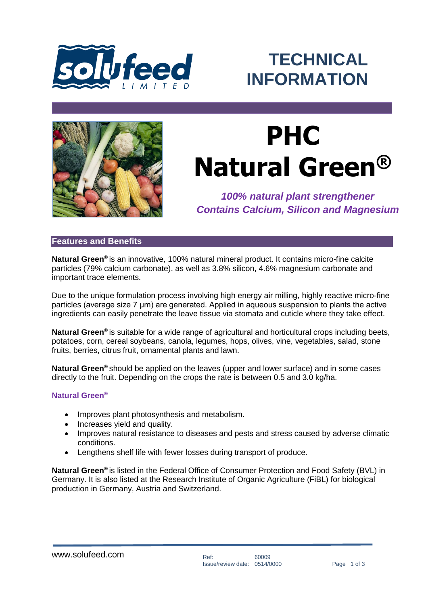

ׇ֦֘

## **TECHNICAL INFORMATION**



# **PHC Natural Green®**

*100% natural plant strengthener Contains Calcium, Silicon and Magnesium*

### **Features and Benefits**

**Natural Green®** is an innovative, 100% natural mineral product. It contains micro-fine calcite particles (79% calcium carbonate), as well as 3.8% silicon, 4.6% magnesium carbonate and important trace elements.

Due to the unique formulation process involving high energy air milling, highly reactive micro-fine particles (average size 7 μm) are generated. Applied in aqueous suspension to plants the active ingredients can easily penetrate the leave tissue via stomata and cuticle where they take effect.

**Natural Green®** is suitable for a wide range of agricultural and horticultural crops including beets, potatoes, corn, cereal soybeans, canola, legumes, hops, olives, vine, vegetables, salad, stone fruits, berries, citrus fruit, ornamental plants and lawn.

**Natural Green®** should be applied on the leaves (upper and lower surface) and in some cases directly to the fruit. Depending on the crops the rate is between 0.5 and 3.0 kg/ha.

#### **Natural Green®**

- Improves plant photosynthesis and metabolism.
- Increases vield and quality.
- Improves natural resistance to diseases and pests and stress caused by adverse climatic conditions.
- Lengthens shelf life with fewer losses during transport of produce.

**Natural Green®** is listed in the Federal Office of Consumer Protection and Food Safety (BVL) in Germany. It is also listed at the Research Institute of Organic Agriculture (FiBL) for biological production in Germany, Austria and Switzerland.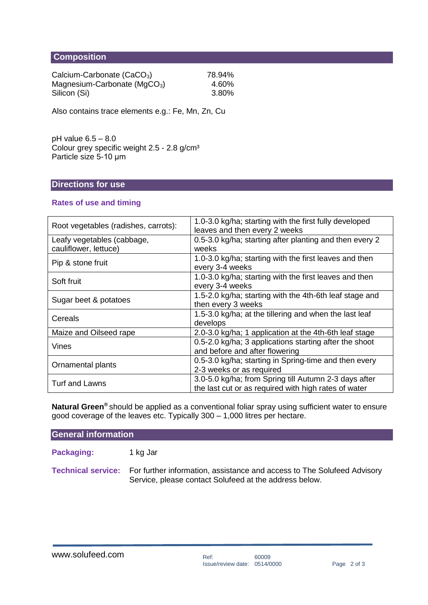#### .**Composition**

| Calcium-Carbonate (CaCO <sub>3</sub> ) | 78.94% |
|----------------------------------------|--------|
| Magnesium-Carbonate ( $MgCO3$ )        | 4.60%  |
| Silicon (Si)                           | 3.80%  |

Also contains trace elements e.g.: Fe, Mn, Zn, Cu

pH value 6.5 – 8.0 Colour grey specific weight 2.5 - 2.8 g/cm<sup>3</sup> Particle size 5-10 μm

#### **Directions for use**

#### **Rates of use and timing**

| Root vegetables (radishes, carrots): | 1.0-3.0 kg/ha; starting with the first fully developed<br>leaves and then every 2 weeks |  |
|--------------------------------------|-----------------------------------------------------------------------------------------|--|
| Leafy vegetables (cabbage,           | 0.5-3.0 kg/ha; starting after planting and then every 2                                 |  |
| cauliflower, lettuce)                | weeks                                                                                   |  |
| Pip & stone fruit                    | 1.0-3.0 kg/ha; starting with the first leaves and then                                  |  |
|                                      | every 3-4 weeks                                                                         |  |
| Soft fruit                           | 1.0-3.0 kg/ha; starting with the first leaves and then                                  |  |
|                                      | every 3-4 weeks                                                                         |  |
| Sugar beet & potatoes                | 1.5-2.0 kg/ha; starting with the 4th-6th leaf stage and                                 |  |
|                                      | then every 3 weeks                                                                      |  |
| Cereals                              | 1.5-3.0 kg/ha; at the tillering and when the last leaf                                  |  |
|                                      | develops                                                                                |  |
| Maize and Oilseed rape               | 2.0-3.0 kg/ha; 1 application at the 4th-6th leaf stage                                  |  |
| Vines                                | 0.5-2.0 kg/ha; 3 applications starting after the shoot                                  |  |
|                                      | and before and after flowering                                                          |  |
| Ornamental plants                    | 0.5-3.0 kg/ha; starting in Spring-time and then every                                   |  |
|                                      | 2-3 weeks or as required                                                                |  |
| <b>Turf and Lawns</b>                | 3.0-5.0 kg/ha; from Spring till Autumn 2-3 days after                                   |  |
|                                      | the last cut or as required with high rates of water                                    |  |

**Natural Green®** should be applied as a conventional foliar spray using sufficient water to ensure good coverage of the leaves etc. Typically 300 – 1,000 litres per hectare.

**General information**

Packaging: 1 kg Jar

**Technical service:** For further information, assistance and access to The Solufeed Advisory Service, please contact Solufeed at the address below.